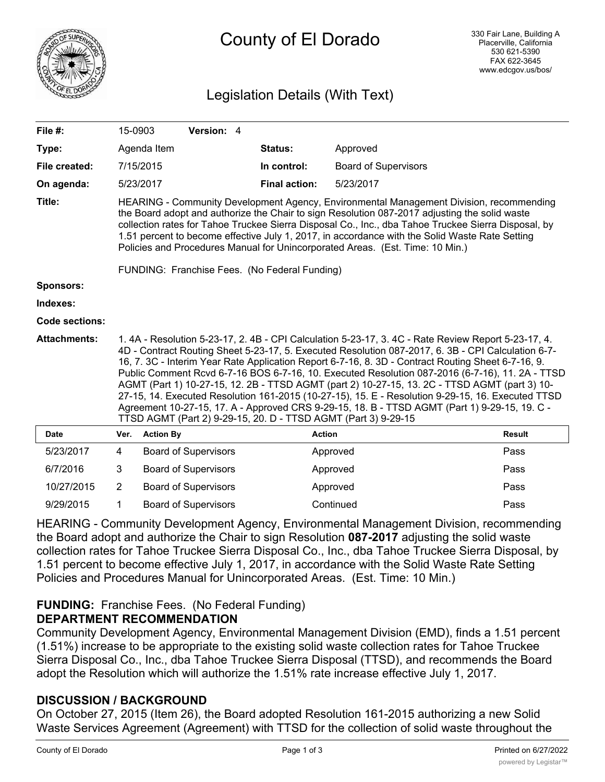

# County of El Dorado

# Legislation Details (With Text)

| File #:             | 15-0903                                                                                                                                                                                                                                                                                                                                                                                                                                                                                                                                                                                                                                                                                                                                                                                  |                  | Version: 4                  |  |                      |                             |               |
|---------------------|------------------------------------------------------------------------------------------------------------------------------------------------------------------------------------------------------------------------------------------------------------------------------------------------------------------------------------------------------------------------------------------------------------------------------------------------------------------------------------------------------------------------------------------------------------------------------------------------------------------------------------------------------------------------------------------------------------------------------------------------------------------------------------------|------------------|-----------------------------|--|----------------------|-----------------------------|---------------|
| Type:               |                                                                                                                                                                                                                                                                                                                                                                                                                                                                                                                                                                                                                                                                                                                                                                                          | Agenda Item      |                             |  | Status:              | Approved                    |               |
| File created:       |                                                                                                                                                                                                                                                                                                                                                                                                                                                                                                                                                                                                                                                                                                                                                                                          | 7/15/2015        |                             |  | In control:          | <b>Board of Supervisors</b> |               |
| On agenda:          |                                                                                                                                                                                                                                                                                                                                                                                                                                                                                                                                                                                                                                                                                                                                                                                          | 5/23/2017        |                             |  | <b>Final action:</b> | 5/23/2017                   |               |
| Title:              | HEARING - Community Development Agency, Environmental Management Division, recommending<br>the Board adopt and authorize the Chair to sign Resolution 087-2017 adjusting the solid waste<br>collection rates for Tahoe Truckee Sierra Disposal Co., Inc., dba Tahoe Truckee Sierra Disposal, by<br>1.51 percent to become effective July 1, 2017, in accordance with the Solid Waste Rate Setting<br>Policies and Procedures Manual for Unincorporated Areas. (Est. Time: 10 Min.)                                                                                                                                                                                                                                                                                                       |                  |                             |  |                      |                             |               |
|                     | FUNDING: Franchise Fees. (No Federal Funding)                                                                                                                                                                                                                                                                                                                                                                                                                                                                                                                                                                                                                                                                                                                                            |                  |                             |  |                      |                             |               |
| <b>Sponsors:</b>    |                                                                                                                                                                                                                                                                                                                                                                                                                                                                                                                                                                                                                                                                                                                                                                                          |                  |                             |  |                      |                             |               |
| Indexes:            |                                                                                                                                                                                                                                                                                                                                                                                                                                                                                                                                                                                                                                                                                                                                                                                          |                  |                             |  |                      |                             |               |
| Code sections:      |                                                                                                                                                                                                                                                                                                                                                                                                                                                                                                                                                                                                                                                                                                                                                                                          |                  |                             |  |                      |                             |               |
| <b>Attachments:</b> | 1.4A - Resolution 5-23-17, 2.4B - CPI Calculation 5-23-17, 3.4C - Rate Review Report 5-23-17, 4.<br>4D - Contract Routing Sheet 5-23-17, 5. Executed Resolution 087-2017, 6. 3B - CPI Calculation 6-7-<br>16, 7. 3C - Interim Year Rate Application Report 6-7-16, 8. 3D - Contract Routing Sheet 6-7-16, 9.<br>Public Comment Rcvd 6-7-16 BOS 6-7-16, 10. Executed Resolution 087-2016 (6-7-16), 11. 2A - TTSD<br>AGMT (Part 1) 10-27-15, 12. 2B - TTSD AGMT (part 2) 10-27-15, 13. 2C - TTSD AGMT (part 3) 10-<br>27-15, 14. Executed Resolution 161-2015 (10-27-15), 15. E - Resolution 9-29-15, 16. Executed TTSD<br>Agreement 10-27-15, 17. A - Approved CRS 9-29-15, 18. B - TTSD AGMT (Part 1) 9-29-15, 19. C -<br>TTSD AGMT (Part 2) 9-29-15, 20. D - TTSD AGMT (Part 3) 9-29-15 |                  |                             |  |                      |                             |               |
| <b>Date</b>         | Ver.                                                                                                                                                                                                                                                                                                                                                                                                                                                                                                                                                                                                                                                                                                                                                                                     | <b>Action By</b> |                             |  | <b>Action</b>        |                             | <b>Result</b> |
| 5/23/2017           | 4                                                                                                                                                                                                                                                                                                                                                                                                                                                                                                                                                                                                                                                                                                                                                                                        |                  | <b>Board of Supervisors</b> |  |                      | Approved                    | Pass          |
| 6/7/2016            | 3                                                                                                                                                                                                                                                                                                                                                                                                                                                                                                                                                                                                                                                                                                                                                                                        |                  | <b>Board of Supervisors</b> |  |                      | Approved                    | Pass          |
| 10/27/2015          | 2                                                                                                                                                                                                                                                                                                                                                                                                                                                                                                                                                                                                                                                                                                                                                                                        |                  | <b>Board of Supervisors</b> |  |                      | Approved                    | Pass          |

HEARING - Community Development Agency, Environmental Management Division, recommending the Board adopt and authorize the Chair to sign Resolution **087-2017** adjusting the solid waste collection rates for Tahoe Truckee Sierra Disposal Co., Inc., dba Tahoe Truckee Sierra Disposal, by 1.51 percent to become effective July 1, 2017, in accordance with the Solid Waste Rate Setting Policies and Procedures Manual for Unincorporated Areas. (Est. Time: 10 Min.)

9/29/2015 1 Board of Supervisors Continued Pass

## **FUNDING:** Franchise Fees. (No Federal Funding) **DEPARTMENT RECOMMENDATION**

Community Development Agency, Environmental Management Division (EMD), finds a 1.51 percent (1.51%) increase to be appropriate to the existing solid waste collection rates for Tahoe Truckee Sierra Disposal Co., Inc., dba Tahoe Truckee Sierra Disposal (TTSD), and recommends the Board adopt the Resolution which will authorize the 1.51% rate increase effective July 1, 2017.

## **DISCUSSION / BACKGROUND**

On October 27, 2015 (Item 26), the Board adopted Resolution 161-2015 authorizing a new Solid Waste Services Agreement (Agreement) with TTSD for the collection of solid waste throughout the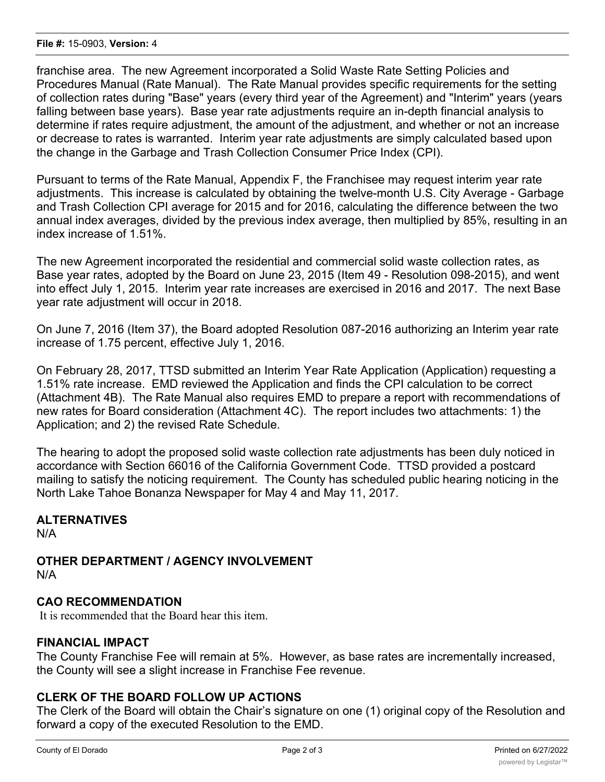franchise area. The new Agreement incorporated a Solid Waste Rate Setting Policies and Procedures Manual (Rate Manual). The Rate Manual provides specific requirements for the setting of collection rates during "Base" years (every third year of the Agreement) and "Interim" years (years falling between base years). Base year rate adjustments require an in-depth financial analysis to determine if rates require adjustment, the amount of the adjustment, and whether or not an increase or decrease to rates is warranted. Interim year rate adjustments are simply calculated based upon the change in the Garbage and Trash Collection Consumer Price Index (CPI).

Pursuant to terms of the Rate Manual, Appendix F, the Franchisee may request interim year rate adjustments. This increase is calculated by obtaining the twelve-month U.S. City Average - Garbage and Trash Collection CPI average for 2015 and for 2016, calculating the difference between the two annual index averages, divided by the previous index average, then multiplied by 85%, resulting in an index increase of 1.51%.

The new Agreement incorporated the residential and commercial solid waste collection rates, as Base year rates, adopted by the Board on June 23, 2015 (Item 49 - Resolution 098-2015), and went into effect July 1, 2015. Interim year rate increases are exercised in 2016 and 2017. The next Base year rate adjustment will occur in 2018.

On June 7, 2016 (Item 37), the Board adopted Resolution 087-2016 authorizing an Interim year rate increase of 1.75 percent, effective July 1, 2016.

On February 28, 2017, TTSD submitted an Interim Year Rate Application (Application) requesting a 1.51% rate increase. EMD reviewed the Application and finds the CPI calculation to be correct (Attachment 4B). The Rate Manual also requires EMD to prepare a report with recommendations of new rates for Board consideration (Attachment 4C). The report includes two attachments: 1) the Application; and 2) the revised Rate Schedule.

The hearing to adopt the proposed solid waste collection rate adjustments has been duly noticed in accordance with Section 66016 of the California Government Code. TTSD provided a postcard mailing to satisfy the noticing requirement. The County has scheduled public hearing noticing in the North Lake Tahoe Bonanza Newspaper for May 4 and May 11, 2017.

## **ALTERNATIVES**

N/A

**OTHER DEPARTMENT / AGENCY INVOLVEMENT** N/A

#### **CAO RECOMMENDATION**

It is recommended that the Board hear this item.

#### **FINANCIAL IMPACT**

The County Franchise Fee will remain at 5%. However, as base rates are incrementally increased, the County will see a slight increase in Franchise Fee revenue.

#### **CLERK OF THE BOARD FOLLOW UP ACTIONS**

The Clerk of the Board will obtain the Chair's signature on one (1) original copy of the Resolution and forward a copy of the executed Resolution to the EMD.